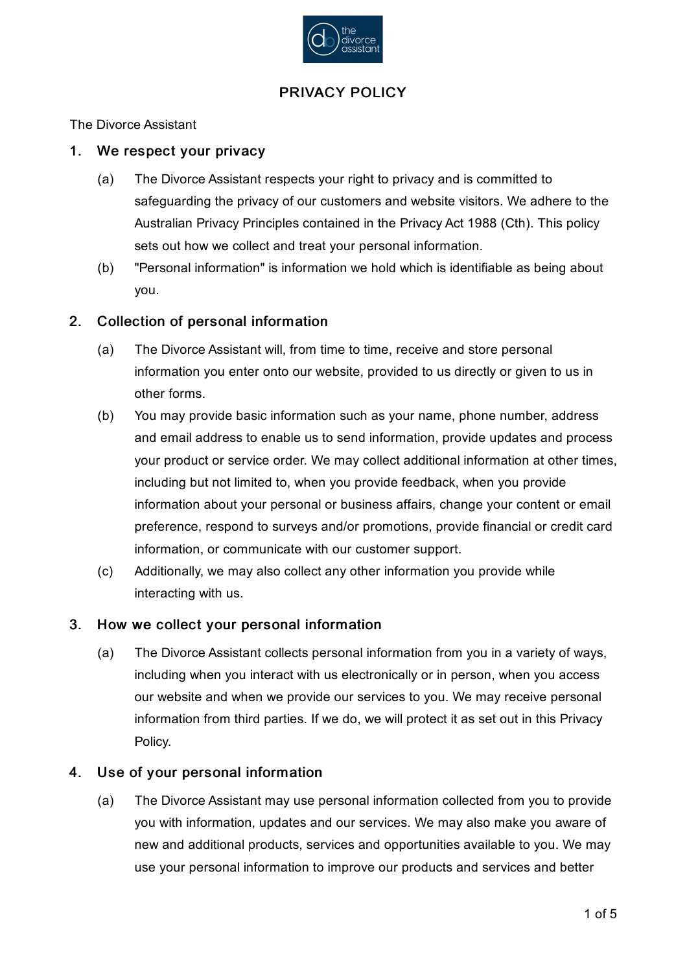

# PRIVACY POLICY

The Divorce Assistant

#### 1. We respect your privacy

- (a) The Divorce Assistant respects your right to privacy and is committed to safeguarding the privacy of our customers and website visitors. We adhere to the Australian Privacy Principles contained in the Privacy Act 1988 (Cth). This policy sets out how we collect and treat your personal information.
- (b) "Personal information" is information we hold which is identifiable as being about you.

#### 2. Collection of personal information

- (a) The Divorce Assistant will, from time to time, receive and store personal information you enter onto our website, provided to us directly or given to us in other forms.
- (b) You may provide basic information such as your name, phone number, address and email address to enable us to send information, provide updates and process your product or service order. We may collect additional information at other times, including but not limited to, when you provide feedback, when you provide information about your personal or business affairs, change your content or email preference, respond to surveys and/or promotions, provide financial or credit card information, or communicate with our customer support.
- (c) Additionally, we may also collect any other information you provide while interacting with us.

#### 3. How we collect your personal information

(a) The Divorce Assistant collects personal information from you in a variety of ways, including when you interact with us electronically or in person, when you access our website and when we provide our services to you. We may receive personal information from third parties. If we do, we will protect it as set out in this Privacy Policy.

#### 4. Use of your personal information

(a) The Divorce Assistant may use personal information collected from you to provide you with information, updates and our services. We may also make you aware of new and additional products, services and opportunities available to you. We may use your personal information to improve our products and services and better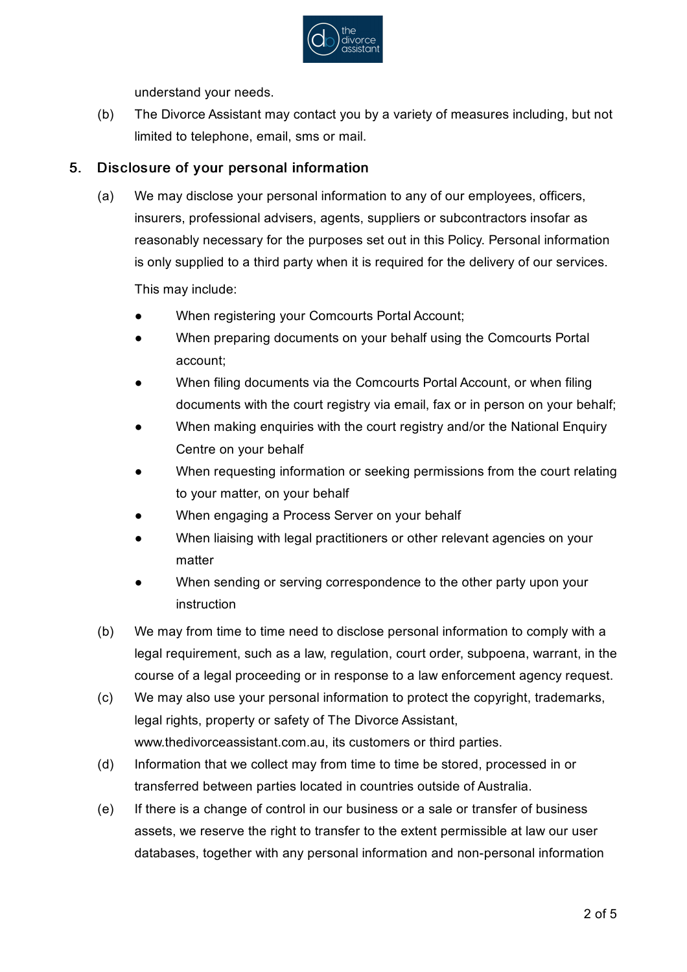

understand your needs.

(b) The Divorce Assistant may contact you by a variety of measures including, but not limited to telephone, email, sms or mail.

#### 5. Disclosure of your personal information

(a) We may disclose your personal information to any of our employees, officers, insurers, professional advisers, agents, suppliers or subcontractors insofar as reasonably necessary for the purposes set out in this Policy. Personal information is only supplied to a third party when it is required for the delivery of our services.

This may include:

- $\bullet$ When registering your Comcourts Portal Account;
- $\bullet$ When preparing documents on your behalf using the Comcourts Portal account;
- $\bullet$ When filing documents via the Comcourts Portal Account, or when filing documents with the court registry via email, fax or in person on your behalf;
- $\bullet$ When making enquiries with the court registry and/or the National Enquiry Centre on your behalf
- $\bullet$ When requesting information or seeking permissions from the court relating to your matter, on your behalf
- $\bullet$ When engaging a Process Server on your behalf
- $\bullet$ When liaising with legal practitioners or other relevant agencies on your matter
- $\bullet$ When sending or serving correspondence to the other party upon your instruction
- (b) We may from time to time need to disclose personal information to comply with a legal requirement, such as a law, regulation, court order, subpoena, warrant, in the course of a legal proceeding or in response to a law enforcement agency request.
- (c) We may also use your personal information to protect the copyright, trademarks, legal rights, property or safety of The Divorce Assistant, www.thedivorceassistant.com.au, its customers or third parties.
- (d) Information that we collect may from time to time be stored, processed in or transferred between parties located in countries outside of Australia.
- (e) If there is a change of control in our business or a sale or transfer of business assets, we reserve the right to transfer to the extent permissible at law our user databases, together with any personal information and non-personal information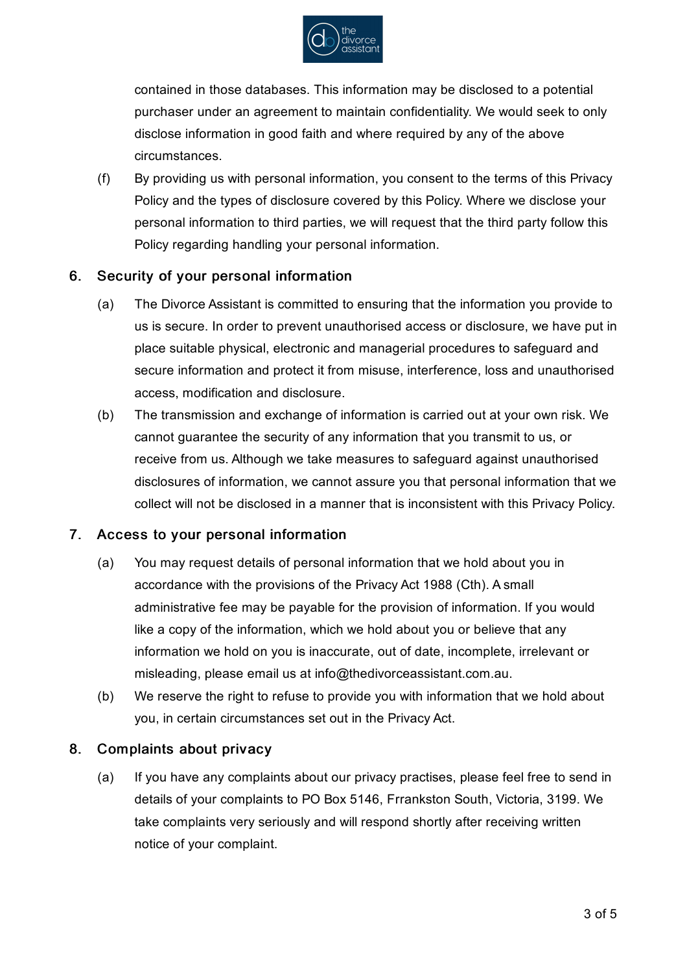

contained in those databases. This information may be disclosed to a potential purchaser under an agreement to maintain confidentiality. We would seek to only disclose information in good faith and where required by any of the above circumstances.

(f) By providing us with personal information, you consent to the terms of this Privacy Policy and the types of disclosure covered by this Policy. Where we disclose your personal information to third parties, we will request that the third party follow this Policy regarding handling your personal information.

#### 6. Security of your personal information

- (a) The Divorce Assistant is committed to ensuring that the information you provide to us is secure. In order to prevent unauthorised access or disclosure, we have put in place suitable physical, electronic and managerial procedures to safeguard and secure information and protect it from misuse, interference, loss and unauthorised access, modification and disclosure.
- (b) The transmission and exchange of information is carried out at your own risk. We cannot guarantee the security of any information that you transmit to us, or receive from us. Although we take measures to safeguard against unauthorised disclosures of information, we cannot assure you that personal information that we collect will not be disclosed in a manner that is inconsistent with this Privacy Policy.

## 7. Access to your personal information

- (a) You may request details of personal information that we hold about you in accordance with the provisions of the Privacy Act 1988 (Cth). A small administrative fee may be payable for the provision of information. If you would like a copy of the information, which we hold about you or believe that any information we hold on you is inaccurate, out of date, incomplete, irrelevant or misleading, please email us at info@thedivorceassistant.com.au.
- (b) We reserve the right to refuse to provide you with information that we hold about you, in certain circumstances set out in the Privacy Act.

#### 8. Complaints about privacy

(a) If you have any complaints about our privacy practises, please feel free to send in details of your complaints to PO Box 5146, Frrankston South, Victoria, 3199. We take complaints very seriously and will respond shortly after receiving written notice of your complaint.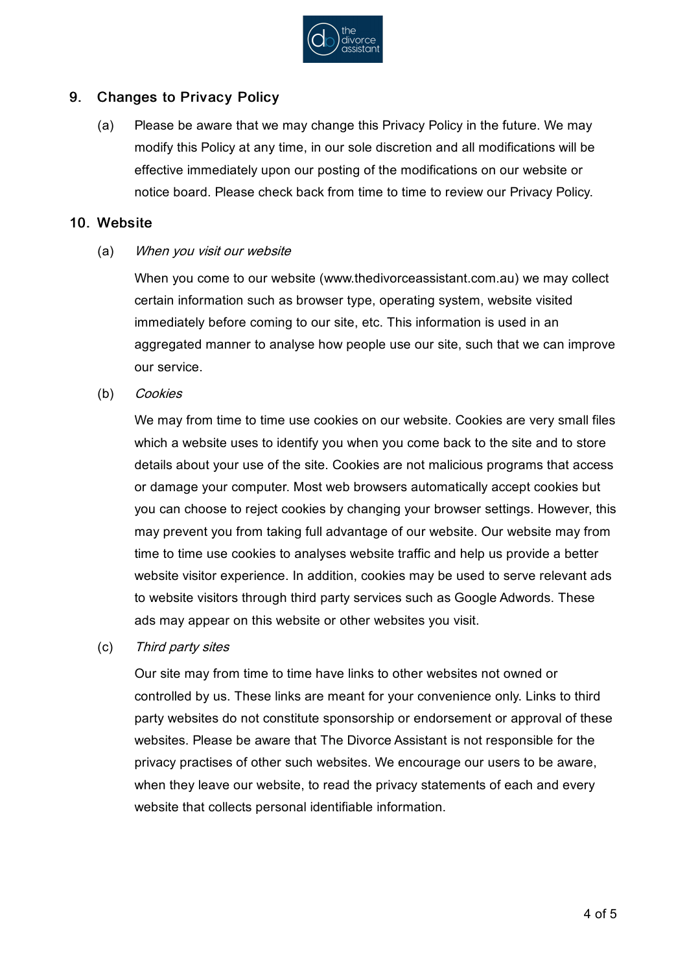

#### 9. Changes to Privacy Policy

(a) Please be aware that we may change this Privacy Policy in the future. We may modify this Policy at any time, in our sole discretion and all modifications will be effective immediately upon our posting of the modifications on our website or notice board. Please check back from time to time to review our Privacy Policy.

### 10. Website

(a) When you visit our website

> When you come to our website (www.thedivorceassistant.com.au) we may collect certain information such as browser type, operating system, website visited immediately before coming to our site, etc. This information is used in an aggregated manner to analyse how people use our site, such that we can improve our service.

(b) **Cookies** 

> We may from time to time use cookies on our website. Cookies are very small files which a website uses to identify you when you come back to the site and to store details about your use of the site. Cookies are not malicious programs that access or damage your computer. Most web browsers automatically accept cookies but you can choose to reject cookies by changing your browser settings. However, this may prevent you from taking full advantage of our website. Our website may from time to time use cookies to analyses website traffic and help us provide a better website visitor experience. In addition, cookies may be used to serve relevant ads to website visitors through third party services such as Google Adwords. These ads may appear on this website or other websites you visit.

(c) Third party sites

> Our site may from time to time have links to other websites not owned or controlled by us. These links are meant for your convenience only. Links to third party websites do not constitute sponsorship or endorsement or approval of these websites. Please be aware that The Divorce Assistant is not responsible for the privacy practises of other such websites. We encourage our users to be aware, when they leave our website, to read the privacy statements of each and every website that collects personal identifiable information.